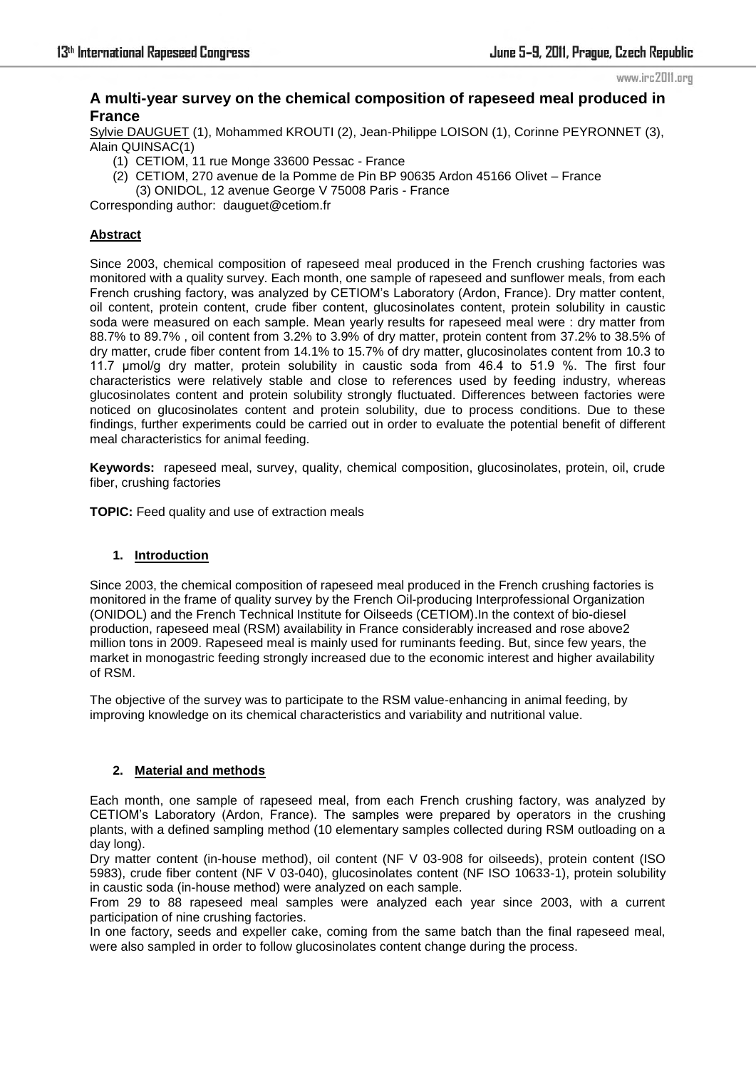www.irc2011.org

# **A multi-year survey on the chemical composition of rapeseed meal produced in France**

Sylvie DAUGUET (1), Mohammed KROUTI (2), Jean-Philippe LOISON (1), Corinne PEYRONNET (3), Alain QUINSAC(1)

- (1) CETIOM, 11 rue Monge 33600 Pessac France
- (2) CETIOM, 270 avenue de la Pomme de Pin BP 90635 Ardon 45166 Olivet France
	- (3) ONIDOL, 12 avenue George V 75008 Paris France

Corresponding author: dauguet@cetiom.fr

## **Abstract**

Since 2003, chemical composition of rapeseed meal produced in the French crushing factories was monitored with a quality survey. Each month, one sample of rapeseed and sunflower meals, from each French crushing factory, was analyzed by CETIOM's Laboratory (Ardon, France). Dry matter content, oil content, protein content, crude fiber content, glucosinolates content, protein solubility in caustic soda were measured on each sample. Mean yearly results for rapeseed meal were : dry matter from 88.7% to 89.7% , oil content from 3.2% to 3.9% of dry matter, protein content from 37.2% to 38.5% of dry matter, crude fiber content from 14.1% to 15.7% of dry matter, glucosinolates content from 10.3 to 11.7 µmol/g dry matter, protein solubility in caustic soda from 46.4 to 51.9 %. The first four characteristics were relatively stable and close to references used by feeding industry, whereas glucosinolates content and protein solubility strongly fluctuated. Differences between factories were noticed on glucosinolates content and protein solubility, due to process conditions. Due to these findings, further experiments could be carried out in order to evaluate the potential benefit of different meal characteristics for animal feeding.

**Keywords:** rapeseed meal, survey, quality, chemical composition, glucosinolates, protein, oil, crude fiber, crushing factories

**TOPIC:** Feed quality and use of extraction meals

### **1. Introduction**

Since 2003, the chemical composition of rapeseed meal produced in the French crushing factories is monitored in the frame of quality survey by the French Oil-producing Interprofessional Organization (ONIDOL) and the French Technical Institute for Oilseeds (CETIOM).In the context of bio-diesel production, rapeseed meal (RSM) availability in France considerably increased and rose above2 million tons in 2009. Rapeseed meal is mainly used for ruminants feeding. But, since few years, the market in monogastric feeding strongly increased due to the economic interest and higher availability of RSM.

The objective of the survey was to participate to the RSM value-enhancing in animal feeding, by improving knowledge on its chemical characteristics and variability and nutritional value.

### **2. Material and methods**

Each month, one sample of rapeseed meal, from each French crushing factory, was analyzed by CETIOM's Laboratory (Ardon, France). The samples were prepared by operators in the crushing plants, with a defined sampling method (10 elementary samples collected during RSM outloading on a day long).

Dry matter content (in-house method), oil content (NF V 03-908 for oilseeds), protein content (ISO 5983), crude fiber content (NF V 03-040), glucosinolates content (NF ISO 10633-1), protein solubility in caustic soda (in-house method) were analyzed on each sample.

From 29 to 88 rapeseed meal samples were analyzed each year since 2003, with a current participation of nine crushing factories.

In one factory, seeds and expeller cake, coming from the same batch than the final rapeseed meal, were also sampled in order to follow glucosinolates content change during the process.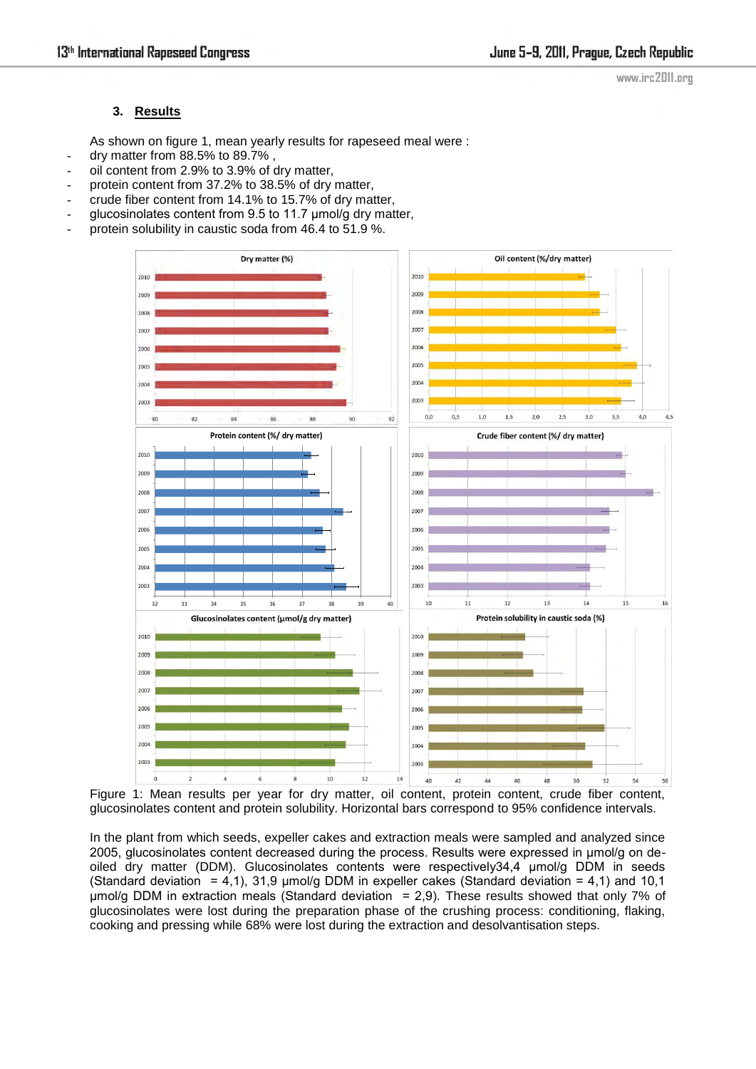### **3. Results**

As shown on figure 1, mean yearly results for rapeseed meal were :

- dry matter from 88.5% to 89.7% ,
- oil content from 2.9% to 3.9% of dry matter,
- protein content from 37.2% to 38.5% of dry matter,
- crude fiber content from 14.1% to 15.7% of dry matter,
- glucosinolates content from 9.5 to 11.7 µmol/g dry matter,
- protein solubility in caustic soda from 46.4 to 51.9 %.



Figure 1: Mean results per year for dry matter, oil content, protein content, crude fiber content, glucosinolates content and protein solubility. Horizontal bars correspond to 95% confidence intervals.

In the plant from which seeds, expeller cakes and extraction meals were sampled and analyzed since 2005, glucosinolates content decreased during the process. Results were expressed in µmol/g on deoiled dry matter (DDM). Glucosinolates contents were respectively34,4 µmol/g DDM in seeds (Standard deviation = 4,1), 31,9  $\mu$ mol/g DDM in expeller cakes (Standard deviation = 4,1) and 10,1  $\mu$ mol/g DDM in extraction meals (Standard deviation = 2,9). These results showed that only 7% of glucosinolates were lost during the preparation phase of the crushing process: conditioning, flaking, cooking and pressing while 68% were lost during the extraction and desolvantisation steps.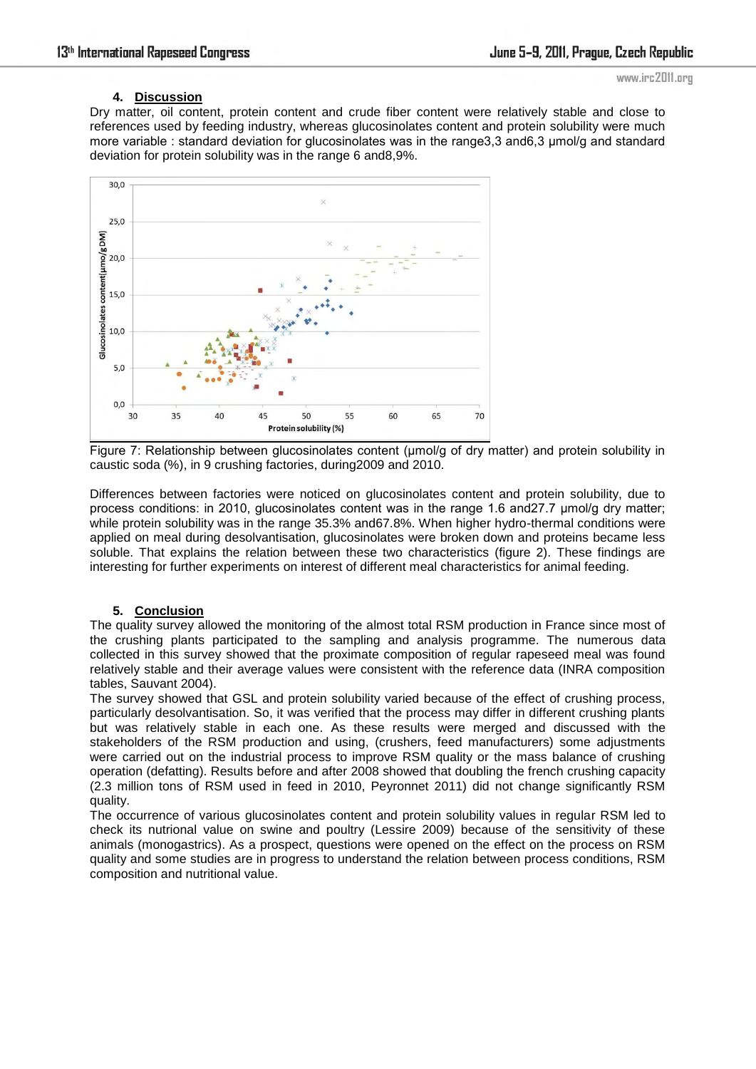# **4. Discussion**

www.irc2011.org

Dry matter, oil content, protein content and crude fiber content were relatively stable and close to references used by feeding industry, whereas glucosinolates content and protein solubility were much more variable : standard deviation for glucosinolates was in the range 3.3 and 6.3 µmol/g and standard deviation for protein solubility was in the range 6 and8,9%.



Figure 7: Relationship between glucosinolates content (umol/g of dry matter) and protein solubility in caustic soda (%), in 9 crushing factories, during2009 and 2010.

Differences between factories were noticed on glucosinolates content and protein solubility, due to process conditions: in 2010, glucosinolates content was in the range 1.6 and 27.7 umol/g dry matter; while protein solubility was in the range 35.3% and67.8%. When higher hydro-thermal conditions were applied on meal during desolvantisation, glucosinolates were broken down and proteins became less soluble. That explains the relation between these two characteristics (figure 2). These findings are interesting for further experiments on interest of different meal characteristics for animal feeding.

## **5. Conclusion**

The quality survey allowed the monitoring of the almost total RSM production in France since most of the crushing plants participated to the sampling and analysis programme. The numerous data collected in this survey showed that the proximate composition of regular rapeseed meal was found relatively stable and their average values were consistent with the reference data (INRA composition tables, Sauvant 2004).

The survey showed that GSL and protein solubility varied because of the effect of crushing process, particularly desolvantisation. So, it was verified that the process may differ in different crushing plants but was relatively stable in each one. As these results were merged and discussed with the stakeholders of the RSM production and using, (crushers, feed manufacturers) some adjustments were carried out on the industrial process to improve RSM quality or the mass balance of crushing operation (defatting). Results before and after 2008 showed that doubling the french crushing capacity (2.3 million tons of RSM used in feed in 2010, Peyronnet 2011) did not change significantly RSM quality.

The occurrence of various glucosinolates content and protein solubility values in regular RSM led to check its nutrional value on swine and poultry (Lessire 2009) because of the sensitivity of these animals (monogastrics). As a prospect, questions were opened on the effect on the process on RSM quality and some studies are in progress to understand the relation between process conditions, RSM composition and nutritional value.